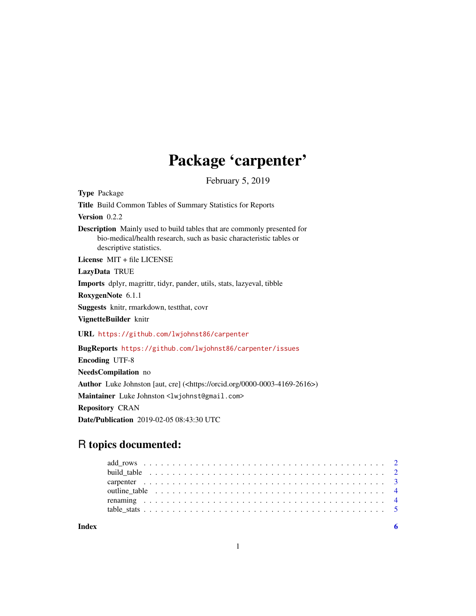# Package 'carpenter'

February 5, 2019

<span id="page-0-0"></span>Type Package Title Build Common Tables of Summary Statistics for Reports Version 0.2.2 Description Mainly used to build tables that are commonly presented for bio-medical/health research, such as basic characteristic tables or descriptive statistics. License MIT + file LICENSE LazyData TRUE Imports dplyr, magrittr, tidyr, pander, utils, stats, lazyeval, tibble RoxygenNote 6.1.1 Suggests knitr, rmarkdown, testthat, covr VignetteBuilder knitr URL <https://github.com/lwjohnst86/carpenter> BugReports <https://github.com/lwjohnst86/carpenter/issues> Encoding UTF-8 NeedsCompilation no Author Luke Johnston [aut, cre] (<https://orcid.org/0000-0003-4169-2616>) Maintainer Luke Johnston <lwjohnst@gmail.com> Repository CRAN

Date/Publication 2019-02-05 08:43:30 UTC

# R topics documented:

| Indev |  |
|-------|--|
|       |  |
|       |  |
|       |  |
|       |  |
|       |  |
|       |  |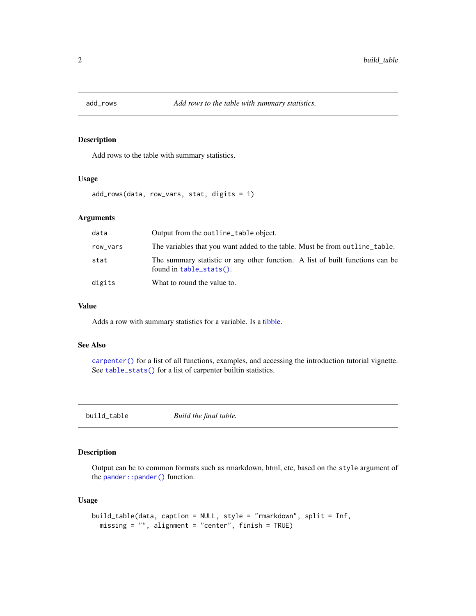<span id="page-1-1"></span><span id="page-1-0"></span>

#### Description

Add rows to the table with summary statistics.

# Usage

add\_rows(data, row\_vars, stat, digits = 1)

# Arguments

| data     | Output from the outline_table object.                                                                    |
|----------|----------------------------------------------------------------------------------------------------------|
| row_vars | The variables that you want added to the table. Must be from out line table.                             |
| stat     | The summary statistic or any other function. A list of built functions can be<br>found in table_stats(). |
| digits   | What to round the value to.                                                                              |

#### Value

Adds a row with summary statistics for a variable. Is a [tibble.](#page-0-0)

#### See Also

[carpenter\(\)](#page-2-1) for a list of all functions, examples, and accessing the introduction tutorial vignette. See [table\\_stats\(\)](#page-4-1) for a list of carpenter builtin statistics.

<span id="page-1-2"></span>build\_table *Build the final table.*

# Description

Output can be to common formats such as rmarkdown, html, etc, based on the style argument of the [pander::pander\(\)](#page-0-0) function.

#### Usage

```
build_table(data, caption = NULL, style = "rmarkdown", split = Inf,
 missing = "", alignment = "center", finish = TRUE)
```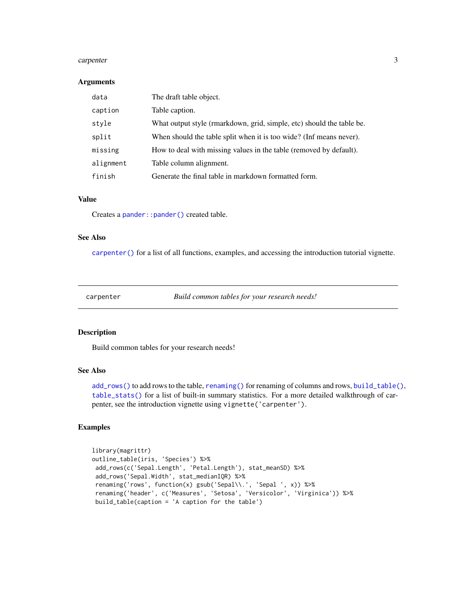#### <span id="page-2-0"></span>carpenter 3

#### Arguments

| data      | The draft table object.                                               |
|-----------|-----------------------------------------------------------------------|
| caption   | Table caption.                                                        |
| style     | What output style (rmarkdown, grid, simple, etc) should the table be. |
| split     | When should the table split when it is too wide? (Inf means never).   |
| missing   | How to deal with missing values in the table (removed by default).    |
| alignment | Table column alignment.                                               |
| finish    | Generate the final table in markdown formatted form.                  |

#### Value

Creates a pander:: pander() created table.

# See Also

[carpenter\(\)](#page-2-1) for a list of all functions, examples, and accessing the introduction tutorial vignette.

<span id="page-2-1"></span>carpenter *Build common tables for your research needs!*

#### Description

Build common tables for your research needs!

# See Also

[add\\_rows\(\)](#page-1-1) to add rows to the table, [renaming\(\)](#page-3-1) for renaming of columns and rows, [build\\_table\(\)](#page-1-2), [table\\_stats\(\)](#page-4-1) for a list of built-in summary statistics. For a more detailed walkthrough of carpenter, see the introduction vignette using vignette('carpenter').

# Examples

```
library(magrittr)
outline_table(iris, 'Species') %>%
add_rows(c('Sepal.Length', 'Petal.Length'), stat_meanSD) %>%
add_rows('Sepal.Width', stat_medianIQR) %>%
 renaming('rows', function(x) gsub('Sepal\\.', 'Sepal ', x)) %>%
 renaming('header', c('Measures', 'Setosa', 'Versicolor', 'Virginica')) %>%
build_table(caption = 'A caption for the table')
```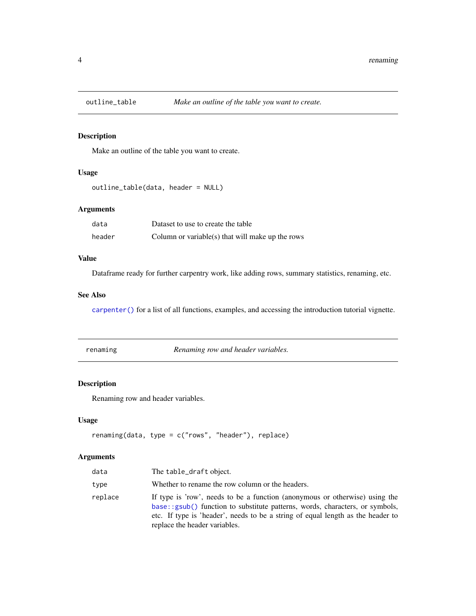<span id="page-3-0"></span>

# Description

Make an outline of the table you want to create.

# Usage

```
outline_table(data, header = NULL)
```
# Arguments

| data   | Dataset to use to create the table               |
|--------|--------------------------------------------------|
| header | Column or variable(s) that will make up the rows |

# Value

Dataframe ready for further carpentry work, like adding rows, summary statistics, renaming, etc.

# See Also

[carpenter\(\)](#page-2-1) for a list of all functions, examples, and accessing the introduction tutorial vignette.

<span id="page-3-1"></span>renaming *Renaming row and header variables.*

#### Description

Renaming row and header variables.

# Usage

```
renaming(data, type = c("rows", "header"), replace)
```
# Arguments

| data    | The table_draft object.                                                                                                                                                                                                                                                         |
|---------|---------------------------------------------------------------------------------------------------------------------------------------------------------------------------------------------------------------------------------------------------------------------------------|
| type    | Whether to rename the row column or the headers.                                                                                                                                                                                                                                |
| replace | If type is 'row', needs to be a function (anonymous or otherwise) using the<br>base::gsub() function to substitute patterns, words, characters, or symbols,<br>etc. If type is 'header', needs to be a string of equal length as the header to<br>replace the header variables. |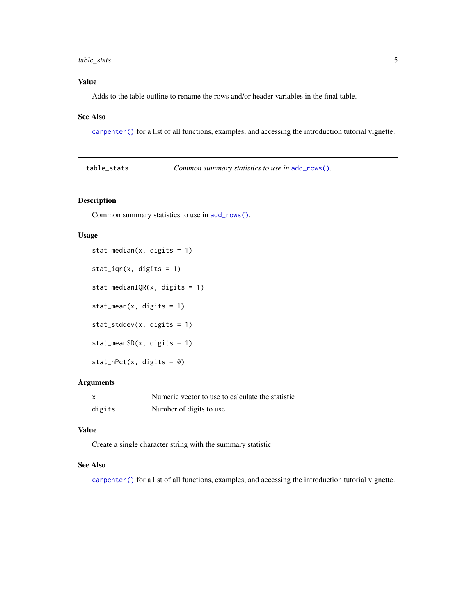# <span id="page-4-0"></span>table\_stats 5

# Value

Adds to the table outline to rename the rows and/or header variables in the final table.

#### See Also

[carpenter\(\)](#page-2-1) for a list of all functions, examples, and accessing the introduction tutorial vignette.

<span id="page-4-1"></span>

| table_stats | <i>Common summary statistics to use in add_rows().</i> |
|-------------|--------------------------------------------------------|
|-------------|--------------------------------------------------------|

# Description

Common summary statistics to use in [add\\_rows\(\)](#page-1-1).

#### Usage

```
stat_median(x, digits = 1)
stat_iqr(x, digits = 1)
stat_medianIQR(x, digits = 1)
stat_mean(x, digits = 1)
stat_stddev(x, digits = 1)
stat_meanSD(x, digits = 1)
stat\_nPet(x, digits = 0)
```
# Arguments

|        | Numeric vector to use to calculate the statistic |
|--------|--------------------------------------------------|
| digits | Number of digits to use                          |

# Value

Create a single character string with the summary statistic

# See Also

[carpenter\(\)](#page-2-1) for a list of all functions, examples, and accessing the introduction tutorial vignette.